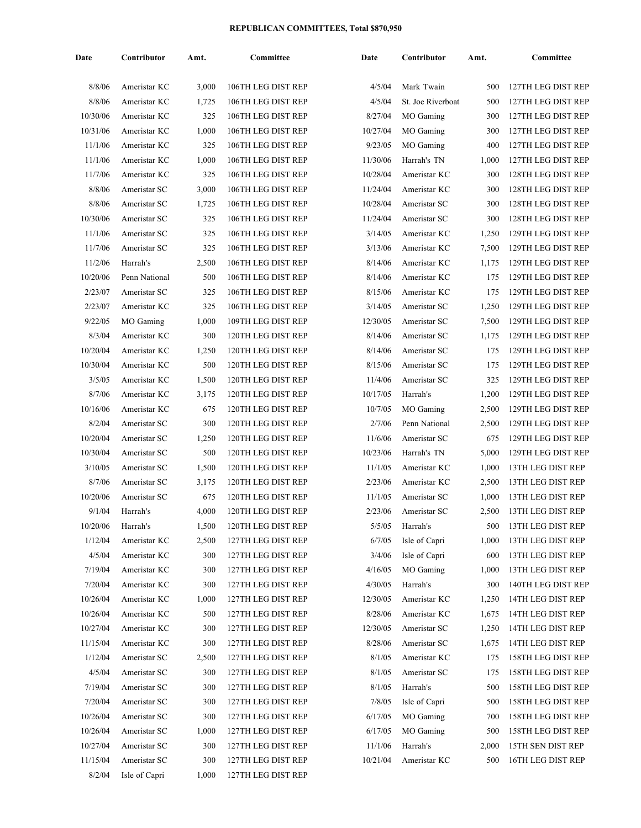## **REPUBLICAN COMMITTEES, Total \$870,950**

| Date                 | Contributor                  | Amt.         | Committee                                | Date               | Contributor              | Amt.         | Committee                                |
|----------------------|------------------------------|--------------|------------------------------------------|--------------------|--------------------------|--------------|------------------------------------------|
| 8/8/06               | Ameristar KC                 | 3,000        | 106TH LEG DIST REP                       | 4/5/04             | Mark Twain               | 500          | 127TH LEG DIST REP                       |
| 8/8/06               | Ameristar KC                 | 1,725        | 106TH LEG DIST REP                       | 4/5/04             | St. Joe Riverboat        | 500          | 127TH LEG DIST REP                       |
| 10/30/06             | Ameristar KC                 | 325          | 106TH LEG DIST REP                       | 8/27/04            | MO Gaming                | 300          | 127TH LEG DIST REP                       |
| 10/31/06             | Ameristar KC                 | 1,000        | 106TH LEG DIST REP                       | 10/27/04           | MO Gaming                | 300          | 127TH LEG DIST REP                       |
| 11/1/06              | Ameristar KC                 | 325          | 106TH LEG DIST REP                       | 9/23/05            | MO Gaming                | 400          | 127TH LEG DIST REP                       |
| 11/1/06              | Ameristar KC                 | 1,000        | 106TH LEG DIST REP                       | 11/30/06           | Harrah's TN              | 1,000        | 127TH LEG DIST REP                       |
| 11/7/06              | Ameristar KC                 | 325          | 106TH LEG DIST REP                       | 10/28/04           | Ameristar KC             | 300          | 128TH LEG DIST REP                       |
| 8/8/06               | Ameristar SC                 | 3,000        | 106TH LEG DIST REP                       | 11/24/04           | Ameristar KC             | 300          | 128TH LEG DIST REP                       |
| 8/8/06               | Ameristar SC                 | 1,725        | 106TH LEG DIST REP                       | 10/28/04           | Ameristar SC             | 300          | 128TH LEG DIST REP                       |
| 10/30/06             | Ameristar SC                 | 325          | 106TH LEG DIST REP                       | 11/24/04           | Ameristar SC             | 300          | 128TH LEG DIST REP                       |
| 11/1/06              | Ameristar SC                 | 325          | 106TH LEG DIST REP                       | 3/14/05            | Ameristar KC             | 1,250        | 129TH LEG DIST REP                       |
| 11/7/06              | Ameristar SC                 | 325          | 106TH LEG DIST REP                       | 3/13/06            | Ameristar KC             | 7,500        | 129TH LEG DIST REP                       |
| 11/2/06              | Harrah's                     | 2,500        | 106TH LEG DIST REP                       | 8/14/06            | Ameristar KC             | 1,175        | 129TH LEG DIST REP                       |
| 10/20/06             | Penn National                | 500          | 106TH LEG DIST REP                       | 8/14/06            | Ameristar KC             | 175          | 129TH LEG DIST REP                       |
| 2/23/07              | Ameristar SC                 | 325          | 106TH LEG DIST REP                       | 8/15/06            | Ameristar KC             | 175          | 129TH LEG DIST REP                       |
| 2/23/07              | Ameristar KC                 | 325          | 106TH LEG DIST REP                       | 3/14/05            | Ameristar SC             | 1,250        | 129TH LEG DIST REP                       |
| 9/22/05              | MO Gaming                    | 1,000        | 109TH LEG DIST REP                       | 12/30/05           | Ameristar SC             | 7,500        | 129TH LEG DIST REP                       |
| 8/3/04               | Ameristar KC                 | 300          | 120TH LEG DIST REP                       | 8/14/06            | Ameristar SC             | 1,175        | 129TH LEG DIST REP                       |
| 10/20/04             | Ameristar KC                 | 1,250        | 120TH LEG DIST REP                       | 8/14/06            | Ameristar SC             | 175          | 129TH LEG DIST REP                       |
| 10/30/04             | Ameristar KC                 | 500          | 120TH LEG DIST REP                       | 8/15/06            | Ameristar SC             | 175          | 129TH LEG DIST REP                       |
| 3/5/05               | Ameristar KC                 | 1,500        | 120TH LEG DIST REP                       | 11/4/06            | Ameristar SC             | 325          | 129TH LEG DIST REP                       |
| 8/7/06               | Ameristar KC                 | 3,175        | 120TH LEG DIST REP                       | 10/17/05           | Harrah's                 | 1,200        | 129TH LEG DIST REP                       |
| 10/16/06             | Ameristar KC                 | 675          | 120TH LEG DIST REP                       | 10/7/05            | MO Gaming                | 2,500        | 129TH LEG DIST REP                       |
| 8/2/04               | Ameristar SC                 | 300          | 120TH LEG DIST REP                       | 2/7/06             | Penn National            | 2,500        | 129TH LEG DIST REP                       |
| 10/20/04             | Ameristar SC                 | 1,250        | 120TH LEG DIST REP                       | 11/6/06            | Ameristar SC             | 675          | 129TH LEG DIST REP                       |
| 10/30/04             | Ameristar SC                 | 500          | 120TH LEG DIST REP                       | 10/23/06           | Harrah's TN              | 5,000        | 129TH LEG DIST REP                       |
| 3/10/05              | Ameristar SC                 | 1,500        | 120TH LEG DIST REP                       | 11/1/05            | Ameristar KC             | 1,000        | 13TH LEG DIST REP                        |
| 8/7/06               | Ameristar SC                 | 3,175        | 120TH LEG DIST REP                       | 2/23/06            | Ameristar KC             | 2,500        | 13TH LEG DIST REP                        |
| 10/20/06             | Ameristar SC                 | 675          | 120TH LEG DIST REP                       | 11/1/05            | Ameristar SC             | 1,000        | 13TH LEG DIST REP                        |
| 9/1/04               | Harrah's                     | 4,000        | 120TH LEG DIST REP                       | 2/23/06            | Ameristar SC             | 2,500        | 13TH LEG DIST REP                        |
| 10/20/06             | Harrah's                     | 1,500        | 120TH LEG DIST REP                       | 5/5/05             | Harrah's                 | 500          | 13TH LEG DIST REP                        |
| 1/12/04              | Ameristar KC                 | 2,500        | 127TH LEG DIST REP                       | 6/7/05             | Isle of Capri            | 1,000        | 13TH LEG DIST REP                        |
| 4/5/04               | Ameristar KC                 | 300          | 127TH LEG DIST REP                       | 3/4/06             | Isle of Capri            | 600          | 13TH LEG DIST REP                        |
| 7/19/04              | Ameristar KC                 | 300          | 127TH LEG DIST REP                       | 4/16/05            | MO Gaming                | 1,000        | 13TH LEG DIST REP                        |
| 7/20/04              | Ameristar KC                 | 300          | 127TH LEG DIST REP                       | 4/30/05            | Harrah's                 | 300          | 140TH LEG DIST REP                       |
| 10/26/04             | Ameristar KC                 | 1,000        | 127TH LEG DIST REP                       | 12/30/05           | Ameristar KC             | 1,250        | 14TH LEG DIST REP                        |
| 10/26/04             | Ameristar KC                 | 500          | 127TH LEG DIST REP                       | 8/28/06            | Ameristar KC             | 1,675        | 14TH LEG DIST REP                        |
| 10/27/04             | Ameristar KC                 | 300          | 127TH LEG DIST REP                       | 12/30/05           | Ameristar SC             | 1,250        | 14TH LEG DIST REP                        |
| 11/15/04             | Ameristar KC                 | 300          | 127TH LEG DIST REP                       | 8/28/06            | Ameristar SC             | 1,675        | 14TH LEG DIST REP                        |
| 1/12/04              | Ameristar SC                 | 2,500        | 127TH LEG DIST REP                       | 8/1/05             | Ameristar KC             | 175          | 158TH LEG DIST REP                       |
| 4/5/04               |                              |              |                                          |                    |                          |              |                                          |
| 7/19/04              | Ameristar SC<br>Ameristar SC | 300<br>300   | 127TH LEG DIST REP<br>127TH LEG DIST REP | 8/1/05<br>8/1/05   | Ameristar SC<br>Harrah's | 175<br>500   | 158TH LEG DIST REP<br>158TH LEG DIST REP |
| 7/20/04              |                              |              |                                          |                    |                          |              |                                          |
|                      | Ameristar SC                 | 300<br>300   | 127TH LEG DIST REP                       | 7/8/05             | Isle of Capri            | 500          | 158TH LEG DIST REP                       |
| 10/26/04             | Ameristar SC                 |              | 127TH LEG DIST REP                       | 6/17/05<br>6/17/05 | MO Gaming                | 700          | 158TH LEG DIST REP                       |
| 10/26/04<br>10/27/04 | Ameristar SC<br>Ameristar SC | 1,000<br>300 | 127TH LEG DIST REP<br>127TH LEG DIST REP | 11/1/06            | MO Gaming<br>Harrah's    | 500<br>2,000 | 158TH LEG DIST REP<br>15TH SEN DIST REP  |
| 11/15/04             | Ameristar SC                 | 300          | 127TH LEG DIST REP                       | 10/21/04           | Ameristar KC             | 500          | 16TH LEG DIST REP                        |
| 8/2/04               | Isle of Capri                | 1,000        | 127TH LEG DIST REP                       |                    |                          |              |                                          |
|                      |                              |              |                                          |                    |                          |              |                                          |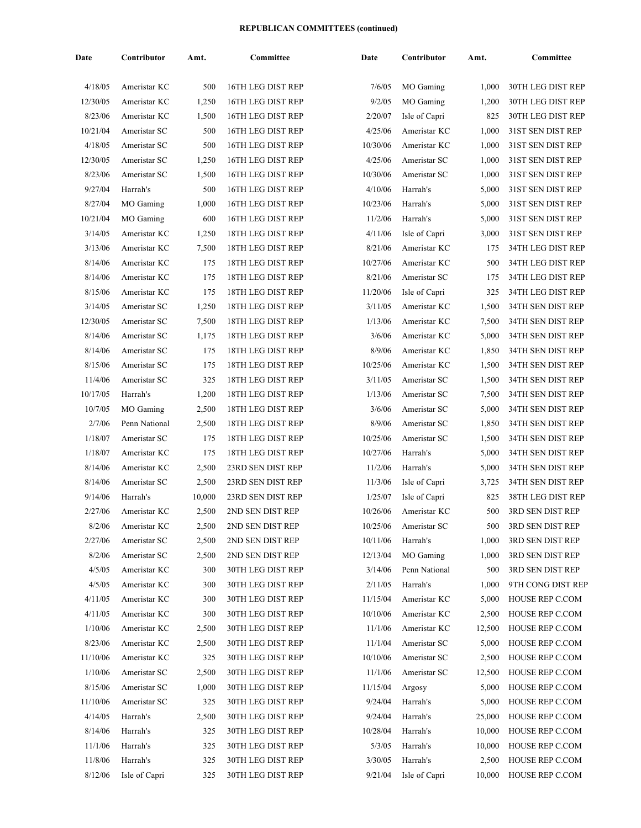## **REPUBLICAN COMMITTEES (continued)**

| Date               | Contributor                  | Amt.   | Committee         | Date     | Contributor                  | Amt.   | Committee         |
|--------------------|------------------------------|--------|-------------------|----------|------------------------------|--------|-------------------|
| 4/18/05            | Ameristar KC                 | 500    | 16TH LEG DIST REP | 7/6/05   | MO Gaming                    | 1,000  | 30TH LEG DIST REP |
| 12/30/05           | Ameristar KC                 | 1,250  | 16TH LEG DIST REP | 9/2/05   | MO Gaming                    | 1,200  | 30TH LEG DIST REP |
| 8/23/06            | Ameristar KC                 | 1,500  | 16TH LEG DIST REP | 2/20/07  | Isle of Capri                | 825    | 30TH LEG DIST REP |
| 10/21/04           | Ameristar SC                 | 500    | 16TH LEG DIST REP | 4/25/06  | Ameristar KC                 | 1,000  | 31ST SEN DIST REP |
| 4/18/05            | Ameristar SC                 | 500    | 16TH LEG DIST REP | 10/30/06 | Ameristar KC                 | 1,000  | 31ST SEN DIST REP |
| 12/30/05           | Ameristar SC                 | 1,250  | 16TH LEG DIST REP | 4/25/06  | Ameristar SC                 | 1,000  | 31ST SEN DIST REP |
| 8/23/06            | Ameristar SC                 | 1,500  | 16TH LEG DIST REP | 10/30/06 | Ameristar SC                 | 1,000  | 31ST SEN DIST REP |
| 9/27/04            | Harrah's                     | 500    | 16TH LEG DIST REP | 4/10/06  | Harrah's                     | 5,000  | 31ST SEN DIST REP |
| 8/27/04            | MO Gaming                    | 1,000  | 16TH LEG DIST REP | 10/23/06 | Harrah's                     | 5,000  | 31ST SEN DIST REP |
| 10/21/04           | MO Gaming                    | 600    | 16TH LEG DIST REP | 11/2/06  | Harrah's                     | 5,000  | 31ST SEN DIST REP |
| 3/14/05            | Ameristar KC                 | 1,250  | 18TH LEG DIST REP | 4/11/06  | Isle of Capri                | 3,000  | 31ST SEN DIST REP |
| 3/13/06            | Ameristar KC                 | 7,500  | 18TH LEG DIST REP | 8/21/06  | Ameristar KC                 | 175    | 34TH LEG DIST REP |
| 8/14/06            | Ameristar KC                 | 175    | 18TH LEG DIST REP | 10/27/06 | Ameristar KC                 | 500    | 34TH LEG DIST REP |
| 8/14/06            | Ameristar KC                 | 175    | 18TH LEG DIST REP | 8/21/06  | Ameristar SC                 | 175    | 34TH LEG DIST REP |
| 8/15/06            | Ameristar KC                 | 175    | 18TH LEG DIST REP | 11/20/06 | Isle of Capri                | 325    | 34TH LEG DIST REP |
| 3/14/05            | Ameristar SC                 | 1,250  | 18TH LEG DIST REP | 3/11/05  | Ameristar KC                 | 1,500  | 34TH SEN DIST REP |
| 12/30/05           | Ameristar SC                 | 7,500  | 18TH LEG DIST REP | 1/13/06  | Ameristar KC                 | 7,500  | 34TH SEN DIST REP |
| 8/14/06            | Ameristar SC                 | 1,175  | 18TH LEG DIST REP | 3/6/06   | Ameristar KC                 | 5,000  | 34TH SEN DIST REP |
| 8/14/06            | Ameristar SC                 | 175    | 18TH LEG DIST REP | 8/9/06   | Ameristar KC                 | 1,850  | 34TH SEN DIST REP |
| 8/15/06            | Ameristar SC                 | 175    | 18TH LEG DIST REP | 10/25/06 | Ameristar KC                 | 1,500  | 34TH SEN DIST REP |
| 11/4/06            | Ameristar SC                 | 325    | 18TH LEG DIST REP | 3/11/05  | Ameristar SC                 | 1,500  | 34TH SEN DIST REP |
| 10/17/05           | Harrah's                     | 1,200  | 18TH LEG DIST REP | 1/13/06  | Ameristar SC                 | 7,500  | 34TH SEN DIST REP |
| 10/7/05            | MO Gaming                    | 2,500  | 18TH LEG DIST REP | 3/6/06   | Ameristar SC                 | 5,000  | 34TH SEN DIST REP |
| 2/7/06             | Penn National                | 2,500  | 18TH LEG DIST REP | 8/9/06   | Ameristar SC                 | 1,850  | 34TH SEN DIST REP |
| 1/18/07            | Ameristar SC                 | 175    | 18TH LEG DIST REP | 10/25/06 | Ameristar SC                 | 1,500  | 34TH SEN DIST REP |
| 1/18/07            | Ameristar KC                 | 175    | 18TH LEG DIST REP | 10/27/06 | Harrah's                     | 5,000  | 34TH SEN DIST REP |
| 8/14/06            | Ameristar KC                 | 2,500  | 23RD SEN DIST REP | 11/2/06  | Harrah's                     | 5,000  | 34TH SEN DIST REP |
| 8/14/06            | Ameristar SC                 | 2,500  | 23RD SEN DIST REP | 11/3/06  | Isle of Capri                | 3,725  | 34TH SEN DIST REP |
| 9/14/06            | Harrah's                     | 10,000 | 23RD SEN DIST REP | 1/25/07  | Isle of Capri                | 825    | 38TH LEG DIST REP |
| 2/27/06            | Ameristar KC                 | 2,500  | 2ND SEN DIST REP  | 10/26/06 | Ameristar KC                 | 500    | 3RD SEN DIST REP  |
| 8/2/06             | Ameristar KC                 | 2,500  | 2ND SEN DIST REP  | 10/25/06 | Ameristar SC                 | 500    | 3RD SEN DIST REP  |
| 2/27/06            | Ameristar SC                 | 2,500  | 2ND SEN DIST REP  | 10/11/06 | Harrah's                     | 1,000  | 3RD SEN DIST REP  |
| 8/2/06             | Ameristar SC                 | 2,500  | 2ND SEN DIST REP  | 12/13/04 | MO Gaming                    | 1,000  | 3RD SEN DIST REP  |
| 4/5/05             | Ameristar KC                 | 300    | 30TH LEG DIST REP | 3/14/06  | Penn National                | 500    | 3RD SEN DIST REP  |
| 4/5/05             | Ameristar KC                 | 300    | 30TH LEG DIST REP | 2/11/05  | Harrah's                     | 1,000  | 9TH CONG DIST REP |
| 4/11/05            | Ameristar KC                 | 300    | 30TH LEG DIST REP | 11/15/04 | Ameristar KC                 | 5,000  | HOUSE REP C.COM   |
| 4/11/05            | Ameristar KC                 | 300    | 30TH LEG DIST REP | 10/10/06 | Ameristar KC                 | 2,500  | HOUSE REP C.COM   |
|                    |                              |        | 30TH LEG DIST REP | 11/1/06  |                              |        |                   |
| 1/10/06<br>8/23/06 | Ameristar KC<br>Ameristar KC | 2,500  |                   |          | Ameristar KC<br>Ameristar SC | 12,500 | HOUSE REP C.COM   |
|                    |                              | 2,500  | 30TH LEG DIST REP | 11/1/04  |                              | 5,000  | HOUSE REP C.COM   |
| 11/10/06           | Ameristar KC                 | 325    | 30TH LEG DIST REP | 10/10/06 | Ameristar SC                 | 2,500  | HOUSE REP C.COM   |
| 1/10/06            | Ameristar SC                 | 2,500  | 30TH LEG DIST REP | 11/1/06  | Ameristar SC                 | 12,500 | HOUSE REP C.COM   |
| 8/15/06            | Ameristar SC                 | 1,000  | 30TH LEG DIST REP | 11/15/04 | Argosy                       | 5,000  | HOUSE REP C.COM   |
| 11/10/06           | Ameristar SC                 | 325    | 30TH LEG DIST REP | 9/24/04  | Harrah's                     | 5,000  | HOUSE REP C.COM   |
| 4/14/05            | Harrah's                     | 2,500  | 30TH LEG DIST REP | 9/24/04  | Harrah's                     | 25,000 | HOUSE REP C.COM   |
| 8/14/06            | Harrah's                     | 325    | 30TH LEG DIST REP | 10/28/04 | Harrah's                     | 10,000 | HOUSE REP C.COM   |
| 11/1/06            | Harrah's                     | 325    | 30TH LEG DIST REP | 5/3/05   | Harrah's                     | 10,000 | HOUSE REP C.COM   |
| 11/8/06            | Harrah's                     | 325    | 30TH LEG DIST REP | 3/30/05  | Harrah's                     | 2,500  | HOUSE REP C.COM   |
| 8/12/06            | Isle of Capri                | 325    | 30TH LEG DIST REP | 9/21/04  | Isle of Capri                | 10,000 | HOUSE REP C.COM   |